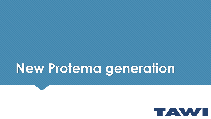# **New Protema generation**

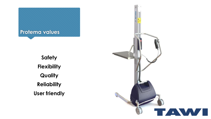

**Safety Flexibility Quality Reliability User friendly**

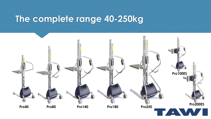### **The complete range 40-250kg**

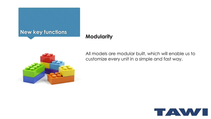

### **Modularity**



All models are modular built, which will enable us to customize every unit in a simple and fast way.

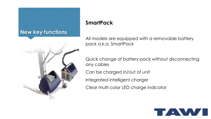### **New key functions**



### **SmartPack**

All models are equipped with a removable battery pack a.k.a. SmartPack

Quick change of battery pack without disconnecting any cables

Can be charged in/out of unit

Integrated intelligent charger

Clear multi color LED charge indicator

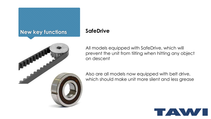### **New key functions SafeDrive**



All models equipped with SafeDrive, which will prevent the unit from tilting when hitting any object on descent

Also are all models now equipped with belt drive, which should make unit more silent and less grease

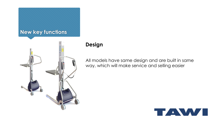

### **Design**

All models have same design and are built in same way, which will make service and selling easier

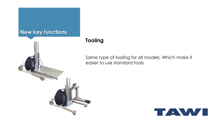### **New key functions**



### **Tooling**

Same type of tooling for all models. Which make it easier to use standard tools

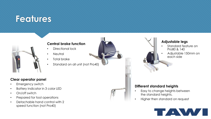## **Features**



#### **Central brake function**

- Directional lock
- **Neutral**
- Total brake
- Standard on all unit (not Pro40)

#### **Clear operator panel**

- Emergency switch
- Battery indicator in 3 color LED
- On/off switch
- Prepared for tool operations
- Detachable hand control with 2 speed function (not Pro40)



#### **Adjustable legs**

- Standard feature on Pro80 & 140
- Adjustable 150mm on each side

#### **Different standard heights**

- Easy to change heights between the standard heights.
- Higher then standard on request

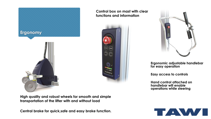



**Control box on mast with clear** 



**Ergonomic adjustable handlebar for easy operation**

**Easy access to controls**

**Hand control attached on handlebar will enable operations while steering**

**High quality and robust wheels for smooth and simple transportation of the lifter with and without load**

**Central brake for quick,safe and easy brake function.**

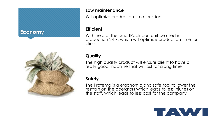### **Economy**



#### **Low maintenance**

Will optimize production time for client

#### **Efficient**

With help of the SmartPack can unit be used in production 24-7, which will optimize production time for client

### **Quality**

The high quality product will ensure client to have a really good machine that will last for along time

#### **Safety**

The Protema is a ergonomic and safe tool to lower the restrain on the operators which leads to less injuries on the staff, which leads to less cost for the company

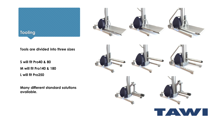



**Tools are divided into three sizes**

**S will fit Pro40 & 80 M will fit Pro140 & 180 L will fit Pro250**

**Many different standard solutions available.**

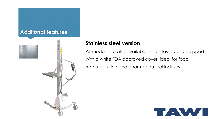### **Addtional features**



### **Stainless steel version**

All models are also available in stainless steel, equipped with a white FDA approved cover, ideal for food manufacturing and pharmaceutical industry